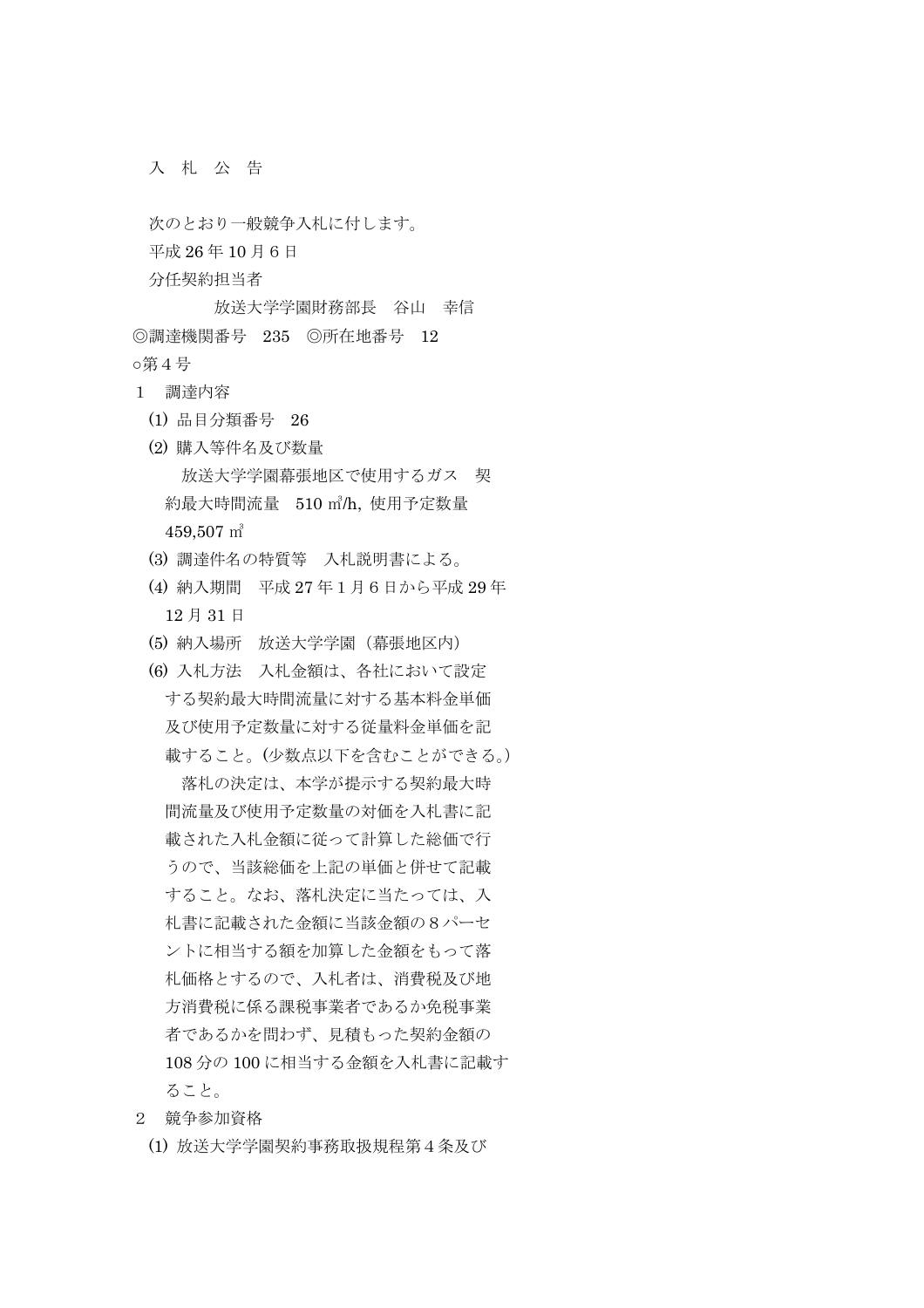入 札 公 告

次のとおり一般競争入札に付します。

平成 26 年 10 月6日

分任契約担当者

 放送大学学園財務部長 谷山 幸信 ◎調達機関番号 235 ◎所在地番号 12 第4号

- 1 調達内容
	- (1) 品目分類番号 26
	- (2) 購入等件名及び数量 放送大学学園幕張地区で使用するガス 契 約最大時間流量 510 ㎥/h, 使用予定数量 459,507 ㎥
	- (3) 調達件名の特質等 入札説明書による。
	- (4) 納入期間 平成 27 年1月6日から平成 29 年 12 月 31 日
	- (5) 納入場所 放送大学学園(幕張地区内)
	- (6) 入札方法 入札金額は、各社において設定 する契約最大時間流量に対する基本料金単価 及び使用予定数量に対する従量料金単価を記 載すること。(少数点以下を含むことができる。)

 落札の決定は、本学が提示する契約最大時 間流量及び使用予定数量の対価を入札書に記 載された入札金額に従って計算した総価で行 うので、当該総価を上記の単価と併せて記載 すること。なお、落札決定に当たっては、入 札書に記載された金額に当該金額の8パーセ ントに相当する額を加算した金額をもって落 札価格とするので、入札者は、消費税及び地 方消費税に係る課税事業者であるか免税事業 者であるかを問わず、見積もった契約金額の 108 分の 100 に相当する金額を入札書に記載す ること。

- 2 競争参加資格
	- (1) 放送大学学園契約事務取扱規程第4条及び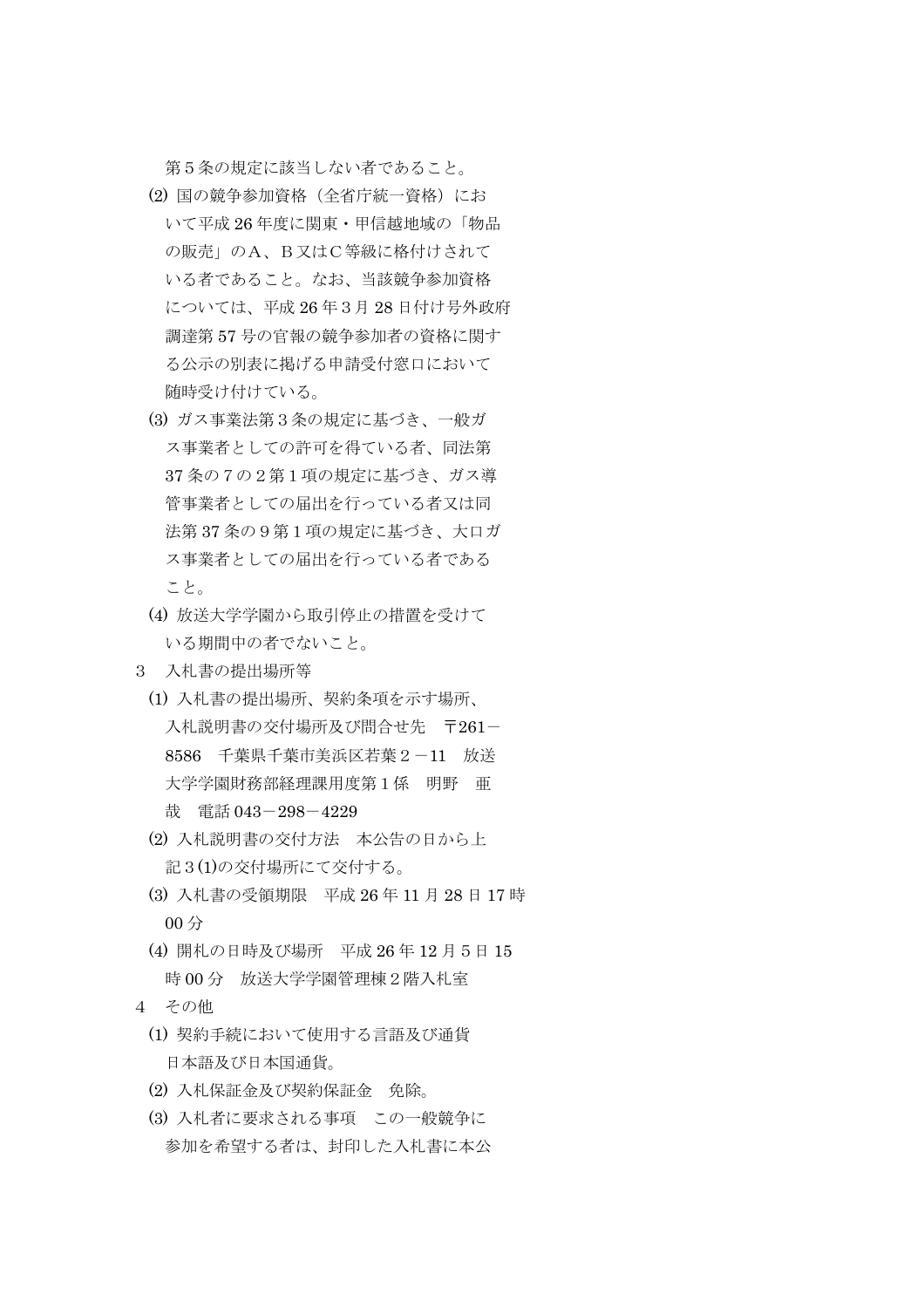第5条の規定に該当しない者であること。

- (2) 国の競争参加資格(全省庁統一資格)にお いて平成 26 年度に関東・甲信越地域の「物品 の販売」のA、B又はC等級に格付けされて いる者であること。なお、当該競争参加資格 については、平成 26 年3月 28 日付け号外政府 調達第 57 号の官報の競争参加者の資格に関す る公示の別表に掲げる申請受付窓口において 随時受け付けている。
- (3) ガス事業法第3条の規定に基づき、一般ガ ス事業者としての許可を得ている者、同法第 37 条の7の2第1項の規定に基づき、ガス導 管事業者としての届出を行っている者又は同 法第 37 条の9第1項の規定に基づき、大口ガ ス事業者としての届出を行っている者である こと。
- (4) 放送大学学園から取引停止の措置を受けて いる期間中の者でないこと。
- 3 入札書の提出場所等
	- (1) 入札書の提出場所、契約条項を示す場所、 入札説明書の交付場所及び問合せ先 〒261-8586 千葉県千葉市美浜区若葉2-11 放送 大学学園財務部経理課用度第1係 明野 亜 哉 電話 043-298-4229
	- (2) 入札説明書の交付方法 本公告の日から上 記3(1)の交付場所にて交付する。
	- (3) 入札書の受領期限 平成 26 年 11 月 28 日 17 時 00 分
	- (4) 開札の日時及び場所 平成 26 年 12 月5日 15 時 00 分 放送大学学園管理棟2階入札室
- 4 その他
	- (1) 契約手続において使用する言語及び通貨 日本語及び日本国通貨。
	- (2) 入札保証金及び契約保証金 免除。
	- (3) 入札者に要求される事項 この一般競争に 参加を希望する者は、封印した入札書に本公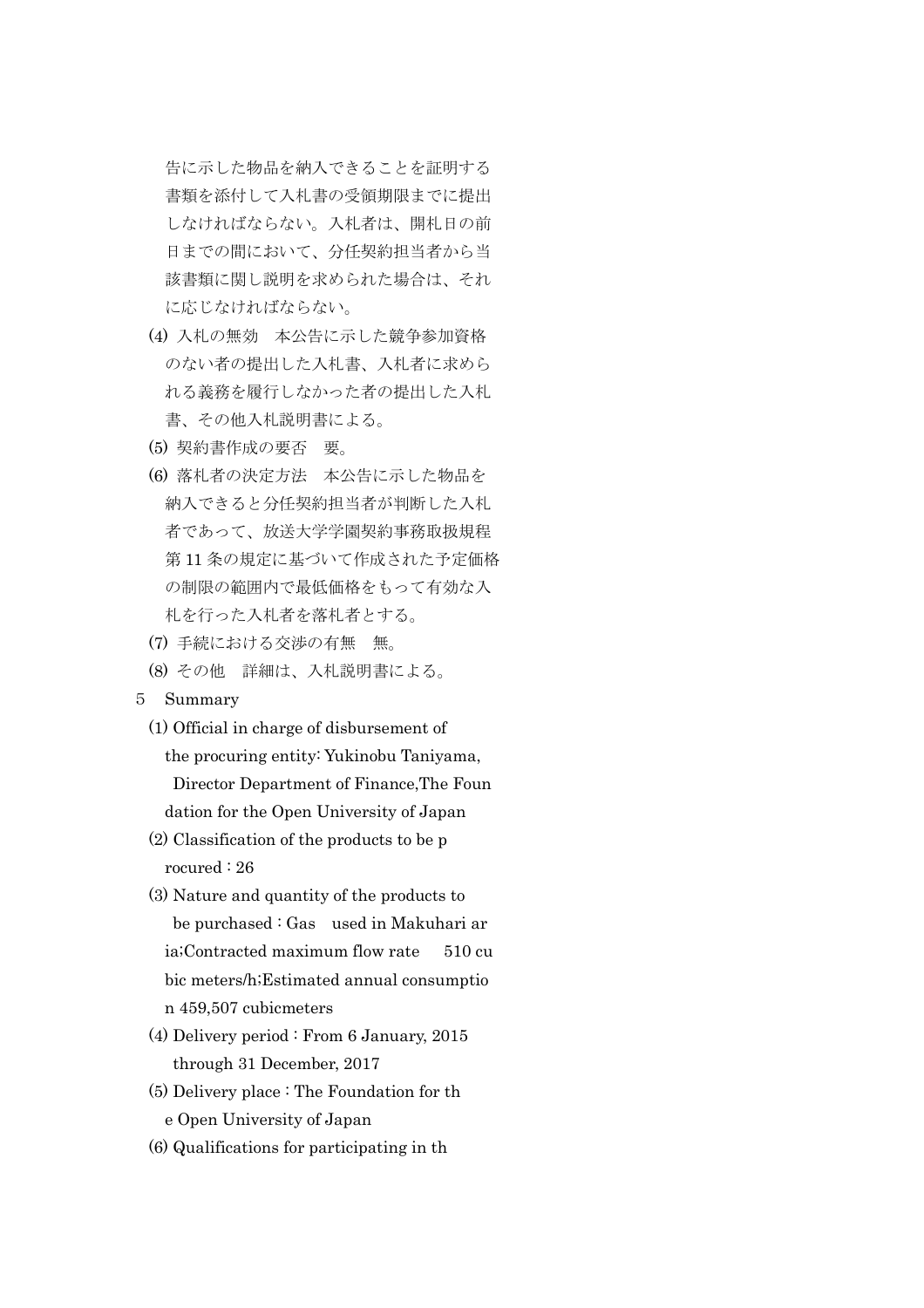告に示した物品を納入できることを証明する 書類を添付して入札書の受領期限までに提出 しなければならない。入札者は、開札日の前 日までの間において、分任契約担当者から当 該書類に関し説明を求められた場合は、それ に応じなければならない。

- (4) 入札の無効 本公告に示した競争参加資格 のない者の提出した入札書、入札者に求めら れる義務を履行しなかった者の提出した入札 書、その他入札説明書による。
- (5) 契約書作成の要否 要。
- (6) 落札者の決定方法 本公告に示した物品を 納入できると分任契約担当者が判断した入札 者であって、放送大学学園契約事務取扱規程 第 11 条の規定に基づいて作成された予定価格 の制限の範囲内で最低価格をもって有効な入 札を行った入札者を落札者とする。
- (7) 手続における交渉の有無 無。
- (8) その他 詳細は、入札説明書による。
- 5 Summary
	- (1) Official in charge of disbursement of the procuring entity: Yukinobu Taniyama, Director Department of Finance,The Foun dation for the Open University of Japan
	- (2) Classification of the products to be p rocured : 26
	- (3) Nature and quantity of the products to be purchased : Gas used in Makuhari ar ia;Contracted maximum flow rate 510 cu bic meters/h;Estimated annual consumptio n 459,507 cubicmeters
	- (4) Delivery period : From 6 January, 2015 through 31 December, 2017
	- (5) Delivery place : The Foundation for th e Open University of Japan
	- (6) Qualifications for participating in th